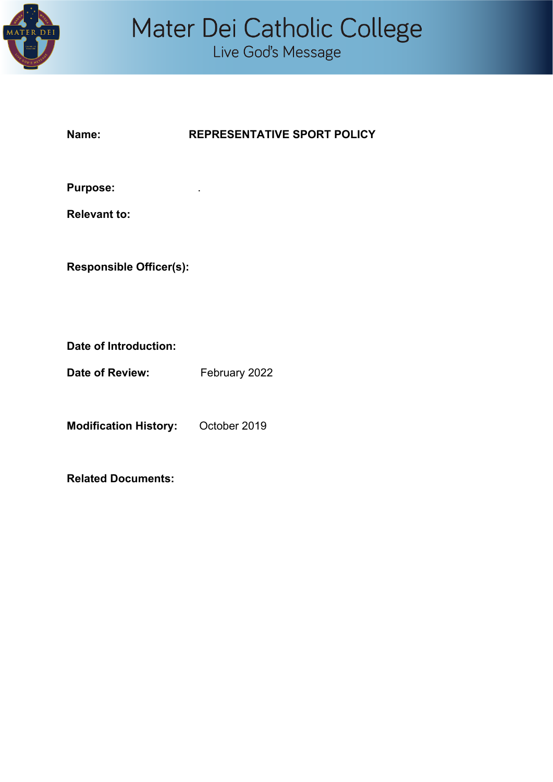

### **Name: REPRESENTATIVE SPORT POLICY**

**Purpose:** .

**Relevant to:**

**Responsible Officer(s):**

**Date of Introduction:**

**Date of Review:** February 2022

**Modification History:** October 2019

**Related Documents:**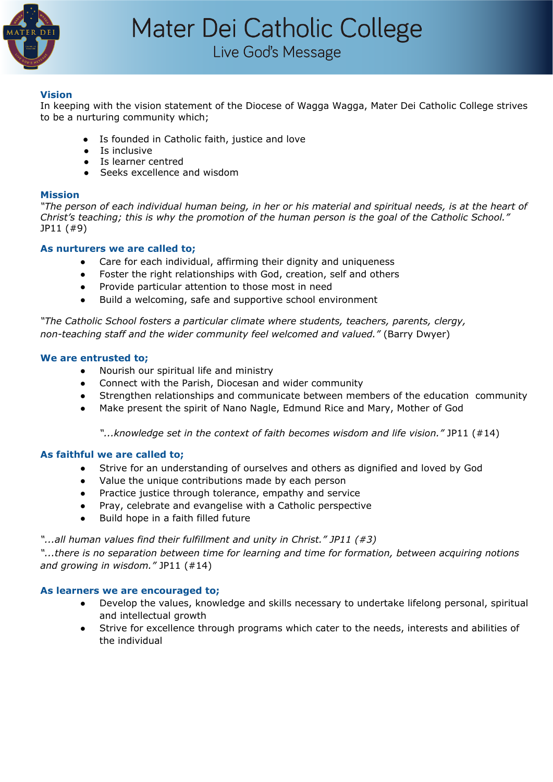

## Live God's Message

#### **Vision**

In keeping with the vision statement of the Diocese of Wagga Wagga, Mater Dei Catholic College strives to be a nurturing community which;

- Is founded in Catholic faith, justice and love
- Is inclusive
- Is learner centred
- Seeks excellence and wisdom

#### **Mission**

"The person of each individual human being, in her or his material and spiritual needs, is at the heart of Christ's teaching; this is why the promotion of the human person is the goal of the Catholic School." JP11 (#9)

#### **As nurturers we are called to;**

- Care for each individual, affirming their dignity and uniqueness
- Foster the right relationships with God, creation, self and others
- Provide particular attention to those most in need
- Build a welcoming, safe and supportive school environment

*"The Catholic School fosters a particular climate where students, teachers, parents, clergy, non-teaching staff and the wider community feel welcomed and valued."* (Barry Dwyer)

#### **We are entrusted to;**

- Nourish our spiritual life and ministry
- Connect with the Parish, Diocesan and wider community
- Strengthen relationships and communicate between members of the education community
- Make present the spirit of Nano Nagle, Edmund Rice and Mary, Mother of God

*"...knowledge set in the context of faith becomes wisdom and life vision."* JP11 (#14)

#### **As faithful we are called to;**

- Strive for an understanding of ourselves and others as dignified and loved by God
- Value the unique contributions made by each person
- Practice justice through tolerance, empathy and service
- Pray, celebrate and evangelise with a Catholic perspective
- Build hope in a faith filled future

#### *"...all human values find their fulfillment and unity in Christ." JP11 (#3)*

*"...there is no separation between time for learning and time for formation, between acquiring notions and growing in wisdom."* JP11 (#14)

#### **As learners we are encouraged to;**

- Develop the values, knowledge and skills necessary to undertake lifelong personal, spiritual and intellectual growth
- Strive for excellence through programs which cater to the needs, interests and abilities of the individual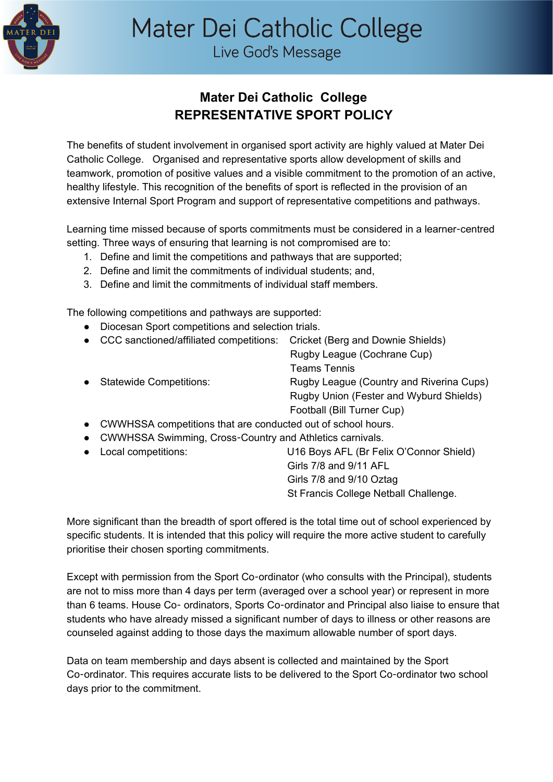

# Mater Dei Catholic College

Live God's Message

## **Mater Dei Catholic College REPRESENTATIVE SPORT POLICY**

The benefits of student involvement in organised sport activity are highly valued at Mater Dei Catholic College. Organised and representative sports allow development of skills and teamwork, promotion of positive values and a visible commitment to the promotion of an active, healthy lifestyle. This recognition of the benefits of sport is reflected in the provision of an extensive Internal Sport Program and support of representative competitions and pathways.

Learning time missed because of sports commitments must be considered in a learner-centred setting. Three ways of ensuring that learning is not compromised are to:

- 1. Define and limit the competitions and pathways that are supported;
- 2. Define and limit the commitments of individual students; and,
- 3. Define and limit the commitments of individual staff members.

The following competitions and pathways are supported:

- Diocesan Sport competitions and selection trials.
- CCC sanctioned/affiliated competitions: Cricket (Berg and Downie Shields) Rugby League (Cochrane Cup) Teams Tennis • Statewide Competitions: Rugby League (Country and Riverina Cups) Rugby Union (Fester and Wyburd Shields) Football (Bill Turner Cup)
- CWWHSSA competitions that are conducted out of school hours.
- CWWHSSA Swimming, Cross-Country and Athletics carnivals.
- Local competitions: U16 Boys AFL (Br Felix O'Connor Shield) Girls 7/8 and 9/11 AFL Girls 7/8 and 9/10 Oztag St Francis College Netball Challenge.

More significant than the breadth of sport offered is the total time out of school experienced by specific students. It is intended that this policy will require the more active student to carefully prioritise their chosen sporting commitments.

Except with permission from the Sport Co-ordinator (who consults with the Principal), students are not to miss more than 4 days per term (averaged over a school year) or represent in more than 6 teams. House Co- ordinators, Sports Co-ordinator and Principal also liaise to ensure that students who have already missed a significant number of days to illness or other reasons are counseled against adding to those days the maximum allowable number of sport days.

Data on team membership and days absent is collected and maintained by the Sport Co-ordinator. This requires accurate lists to be delivered to the Sport Co-ordinator two school days prior to the commitment.